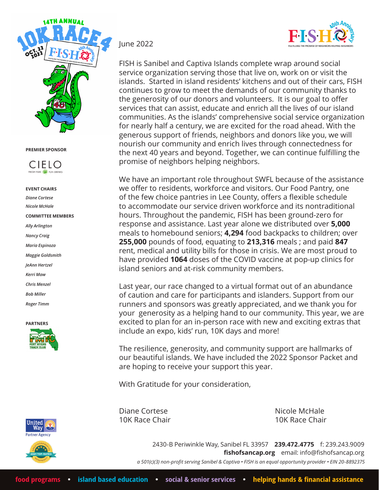



#### **EVENT CHAIRS**

*Diane Cortese Nicole McHale* **COMMITTEE MEMBERS** *Ally Arlington Nancy Craig Maria Espinoza Maggie Goldsmith JeAnn Hertzel Kerri Maw Chris Menzel Bob Miller Roger Timm*







### June 2022

FISH is Sanibel and Captiva Islands complete wrap around social service organization serving those that live on, work on or visit the islands. Started in island residents' kitchens and out of their cars, FISH continues to grow to meet the demands of our community thanks to the generosity of our donors and volunteers. It is our goal to offer services that can assist, educate and enrich all the lives of our island communities. As the islands' comprehensive social service organization for nearly half a century, we are excited for the road ahead. With the generous support of friends, neighbors and donors like you, we will nourish our community and enrich lives through connectedness for the next 40 years and beyond. Together, we can continue fulfilling the promise of neighbors helping neighbors.

We have an important role throughout SWFL because of the assistance we offer to residents, workforce and visitors. Our Food Pantry, one of the few choice pantries in Lee County, offers a flexible schedule to accommodate our service driven workforce and its nontraditional hours. Throughout the pandemic, FISH has been ground-zero for response and assistance. Last year alone we distributed over **5,000**  meals to homebound seniors; **4,294** food backpacks to children; over **255,000** pounds of food, equating to **213,316** meals ; and paid **847** rent, medical and utility bills for those in crisis. We are most proud to have provided **1064** doses of the COVID vaccine at pop-up clinics for island seniors and at-risk community members.

Last year, our race changed to a virtual format out of an abundance of caution and care for participants and islanders. Support from our runners and sponsors was greatly appreciated, and we thank you for your generosity as a helping hand to our community. This year, we are excited to plan for an in-person race with new and exciting extras that include an expo, kids' run, 10K days and more!

The resilience, generosity, and community support are hallmarks of our beautiful islands. We have included the 2022 Sponsor Packet and are hoping to receive your support this year.

With Gratitude for your consideration,

Diane Cortese Nicole McHale

10K Race Chair 10K Race Chair

2430-B Periwinkle Way, Sanibel FL 33957 **239.472.4775** f: 239.243.9009 **fishofsancap.org** email: info@fishofsancap.org *a 501(c)(3) non-profit serving Sanibel & Captiva • FISH is an equal opportunity provider • EIN 20-8892375*

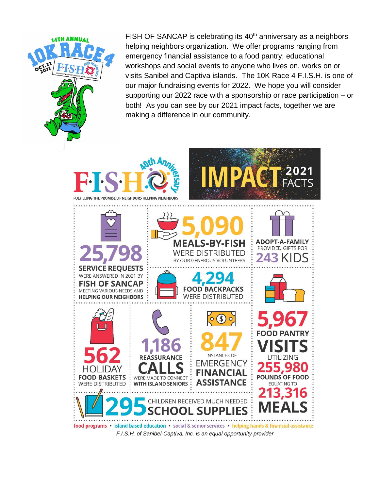

FISH OF SANCAP is celebrating its 40<sup>th</sup> anniversary as a neighbors helping neighbors organization. We offer programs ranging from emergency financial assistance to a food pantry; educational workshops and social events to anyone who lives on, works on or visits Sanibel and Captiva islands. The 10K Race 4 F.I.S.H. is one of our major fundraising events for 2022. We hope you will consider supporting our 2022 race with a sponsorship or race participation – or both! As you can see by our 2021 impact facts, together we are making a difference in our community.



*F.I.S.H. of Sanibel-Captiva, Inc. is an equal opportunity provider*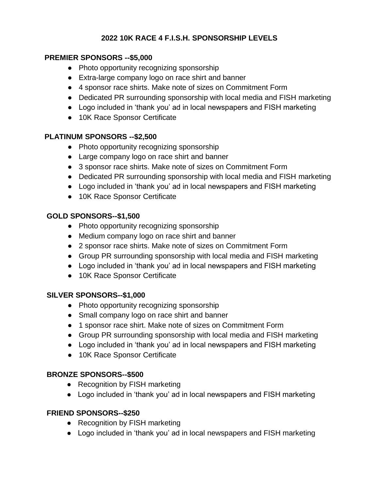## **2022 10K RACE 4 F.I.S.H. SPONSORSHIP LEVELS**

## **PREMIER SPONSORS --\$5,000**

- Photo opportunity recognizing sponsorship
- Extra-large company logo on race shirt and banner
- 4 sponsor race shirts. Make note of sizes on Commitment Form
- Dedicated PR surrounding sponsorship with local media and FISH marketing
- Logo included in 'thank you' ad in local newspapers and FISH marketing
- 10K Race Sponsor Certificate

## **PLATINUM SPONSORS --\$2,500**

- Photo opportunity recognizing sponsorship
- Large company logo on race shirt and banner
- 3 sponsor race shirts. Make note of sizes on Commitment Form
- Dedicated PR surrounding sponsorship with local media and FISH marketing
- Logo included in 'thank you' ad in local newspapers and FISH marketing
- 10K Race Sponsor Certificate

## **GOLD SPONSORS--\$1,500**

- Photo opportunity recognizing sponsorship
- Medium company logo on race shirt and banner
- 2 sponsor race shirts. Make note of sizes on Commitment Form
- Group PR surrounding sponsorship with local media and FISH marketing
- Logo included in 'thank you' ad in local newspapers and FISH marketing
- 10K Race Sponsor Certificate

## **SILVER SPONSORS--\$1,000**

- Photo opportunity recognizing sponsorship
- Small company logo on race shirt and banner
- 1 sponsor race shirt. Make note of sizes on Commitment Form
- Group PR surrounding sponsorship with local media and FISH marketing
- Logo included in 'thank you' ad in local newspapers and FISH marketing
- 10K Race Sponsor Certificate

## **BRONZE SPONSORS--\$500**

- Recognition by FISH marketing
- Logo included in 'thank you' ad in local newspapers and FISH marketing

## **FRIEND SPONSORS--\$250**

- Recognition by FISH marketing
- Logo included in 'thank you' ad in local newspapers and FISH marketing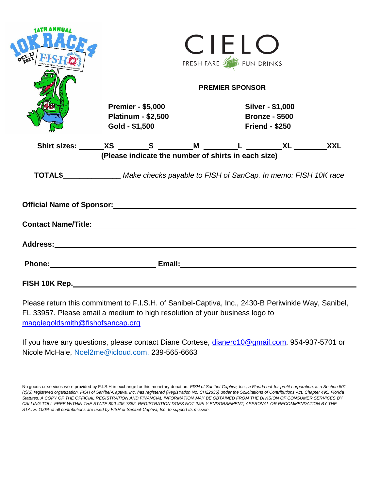|                                        | CIELO<br>FRESH FARE VIEW FUN DRINKS<br><b>PREMIER SPONSOR</b>           |                                                                                                                                                                                                                                     |  |
|----------------------------------------|-------------------------------------------------------------------------|-------------------------------------------------------------------------------------------------------------------------------------------------------------------------------------------------------------------------------------|--|
|                                        | <b>Premier - \$5,000</b><br><b>Platinum - \$2,500</b><br>Gold - \$1,500 | Silver - \$1,000<br><b>Bronze - \$500</b><br><b>Friend - \$250</b>                                                                                                                                                                  |  |
|                                        | (Please indicate the number of shirts in each size)                     | Shirt sizes: ______XS ________S ________M ________L _________XL ________XXL                                                                                                                                                         |  |
|                                        |                                                                         | TOTAL\$_________________ Make checks payable to FISH of SanCap. In memo: FISH 10K race                                                                                                                                              |  |
|                                        |                                                                         | Official Name of Sponsor: Manual According to the Contract of Sponsor:                                                                                                                                                              |  |
|                                        |                                                                         |                                                                                                                                                                                                                                     |  |
|                                        |                                                                         |                                                                                                                                                                                                                                     |  |
|                                        |                                                                         | Phone: <u>Contract Communication</u> Email: Communication Communication Communication Communication Communication Communication Communication Communication Communication Communication Communication Communication Communication C |  |
| FISH 10K Rep._________________________ |                                                                         |                                                                                                                                                                                                                                     |  |

Please return this commitment to F.I.S.H. of Sanibel-Captiva, Inc., 2430-B Periwinkle Way, Sanibel, FL 33957. Please email a medium to high resolution of your business logo to [maggiegoldsmith@fishofsancap.org](mailto:maggiegoldsmith@fishofsancap.org)

If you have any questions, please contact Diane Cortese, [dianerc10@gmail.com,](mailto:dianerc10@gmail.com) 954-937-5701 or Nicole McHale, [Noel2me@icloud.com,](mailto:Noel2me@icloud.com) 239-565-6663

No goods or services were provided by F.I.S.H in exchange for this monetary donation. *FISH of Sanibel-Captiva, Inc., a Florida not-for-profit corporation, is a Section 501 (c)(3) registered organization. FISH of Sanibel-Captiva, Inc. has registered (Registration No. CH22835) under the Solicitations of Contributions Act, Chapter 495, Florida Statutes. A COPY OF THE OFFICIAL REGISTRATION AND FINANCIAL INFORMATION MAY BE OBTAINED FROM THE DIVISION OF CONSUMER SERVICES BY CALLING TOLL-FREE WITHIN THE STATE 800-435-7352. REGISTRATION DOES NOT IMPLY ENDORSEMENT, APPROVAL OR RECOMMENDATION BY THE STATE. 100% of all contributions are used by FISH of Sanibel-Captiva, Inc. to support its mission.*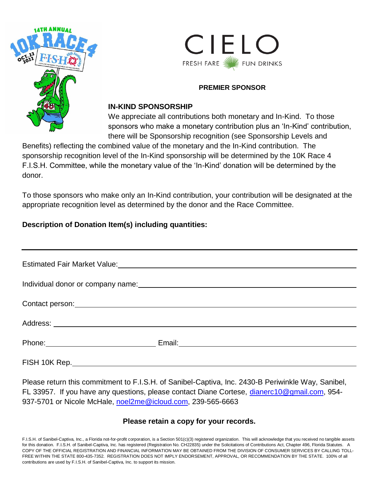



## **IN-KIND SPONSORSHIP**

We appreciate all contributions both monetary and In-Kind. To those sponsors who make a monetary contribution plus an 'In-Kind' contribution, there will be Sponsorship recognition (see Sponsorship Levels and

Benefits) reflecting the combined value of the monetary and the In-Kind contribution. The sponsorship recognition level of the In-Kind sponsorship will be determined by the 10K Race 4 F.I.S.H. Committee, while the monetary value of the 'In-Kind' donation will be determined by the donor.

To those sponsors who make only an In-Kind contribution, your contribution will be designated at the appropriate recognition level as determined by the donor and the Race Committee.

# **Description of Donation Item(s) including quantities:**

| Estimated Fair Market Value:<br><u> Estimated Fair Market Value:</u>                                                                                                                                                           |  |  |
|--------------------------------------------------------------------------------------------------------------------------------------------------------------------------------------------------------------------------------|--|--|
|                                                                                                                                                                                                                                |  |  |
| Contact person: example and a series of the series of the series of the series of the series of the series of the series of the series of the series of the series of the series of the series of the series of the series of  |  |  |
|                                                                                                                                                                                                                                |  |  |
| Phone: Note: Note: Note: Note: Note: Note: Note: Note: Note: Note: Note: Note: Note: Note: Note: Note: Note: Note: Note: Note: Note: Note: Note: Note: Note: Note: Note: Note: Note: Note: Note: Note: Note: Note: Note: Note: |  |  |
| FISH 10K Rep. _______________________________                                                                                                                                                                                  |  |  |

Please return this commitment to F.I.S.H. of Sanibel-Captiva, Inc. 2430-B Periwinkle Way, Sanibel, FL 33957. If you have any questions, please contact Diane Cortese, [dianerc10@gmail.com,](mailto:dianerc10@gmail.com) 954- 937-5701 or Nicole McHale, [noel2me@icloud.com,](mailto:noel2me@icloud.com) 239-565-6663

## **Please retain a copy for your records.**

F.I.S.H. of Sanibel-Captiva, Inc., a Florida not-for-profit corporation, is a Section 501(c)(3) registered organization. This will acknowledge that you received no tangible assets for this donation. F.I.S.H. of Sanibel-Captiva, Inc. has registered (Registration No. CH22835) under the Solicitations of Contributions Act, Chapter 496, Florida Statutes. A COPY OF THE OFFICIAL REGISTRATION AND FINANCIAL INFORMATION MAY BE OBTAINED FROM THE DIVISION OF CONSUMER SERVICES BY CALLING TOLL-FREE WITHIN THE STATE 800-435-7352. REGISTRATION DOES NOT IMPLY ENDORSEMENT, APPROVAL, OR RECOMMENDATION BY THE STATE. 100% of all contributions are used by F.I.S.H. of Sanibel-Captiva, Inc. to support its mission.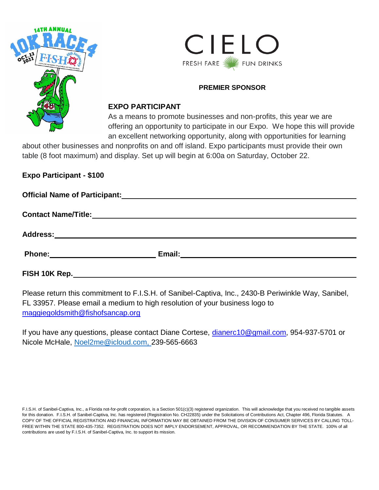



#### **EXPO PARTICIPANT**

As a means to promote businesses and non-profits, this year we are offering an opportunity to participate in our Expo. We hope this will provide an excellent networking opportunity, along with opportunities for learning

about other businesses and nonprofits on and off island. Expo participants must provide their own table (8 foot maximum) and display. Set up will begin at 6:00a on Saturday, October 22.

**Expo Participant - \$100**

| <b>Official Name of Participant:</b><br><u> 1989 - Johann John Stone, mars eta biztanleria (h. 1989).</u>                                                                                                                           |                                                                                                                       |  |
|-------------------------------------------------------------------------------------------------------------------------------------------------------------------------------------------------------------------------------------|-----------------------------------------------------------------------------------------------------------------------|--|
|                                                                                                                                                                                                                                     |                                                                                                                       |  |
| <b>Address:</b>                                                                                                                                                                                                                     | <u> 1989 - John Harry Harry Harry Harry Harry Harry Harry Harry Harry Harry Harry Harry Harry Harry Harry Harry H</u> |  |
| <b>Phone:</b> The contract of the contract of the contract of the contract of the contract of the contract of the contract of the contract of the contract of the contract of the contract of the contract of the contract of the c |                                                                                                                       |  |
| FISH 10K Rep.                                                                                                                                                                                                                       |                                                                                                                       |  |

Please return this commitment to F.I.S.H. of Sanibel-Captiva, Inc., 2430-B Periwinkle Way, Sanibel, FL 33957. Please email a medium to high resolution of your business logo to [maggiegoldsmith@fishofsancap.org](mailto:maggiegoldsmith@fishofsancap.org)

If you have any questions, please contact Diane Cortese, [dianerc10@gmail.com,](mailto:dianerc10@gmail.com) 954-937-5701 or Nicole McHale, [Noel2me@icloud.com,](mailto:Noel2me@icloud.com) 239-565-6663

F.I.S.H. of Sanibel-Captiva, Inc., a Florida not-for-profit corporation, is a Section 501(c)(3) registered organization. This will acknowledge that you received no tangible assets for this donation. F.I.S.H. of Sanibel-Captiva, Inc. has registered (Registration No. CH22835) under the Solicitations of Contributions Act, Chapter 496, Florida Statutes. A COPY OF THE OFFICIAL REGISTRATION AND FINANCIAL INFORMATION MAY BE OBTAINED FROM THE DIVISION OF CONSUMER SERVICES BY CALLING TOLL-FREE WITHIN THE STATE 800-435-7352. REGISTRATION DOES NOT IMPLY ENDORSEMENT, APPROVAL, OR RECOMMENDATION BY THE STATE. 100% of all contributions are used by F.I.S.H. of Sanibel-Captiva, Inc. to support its mission.